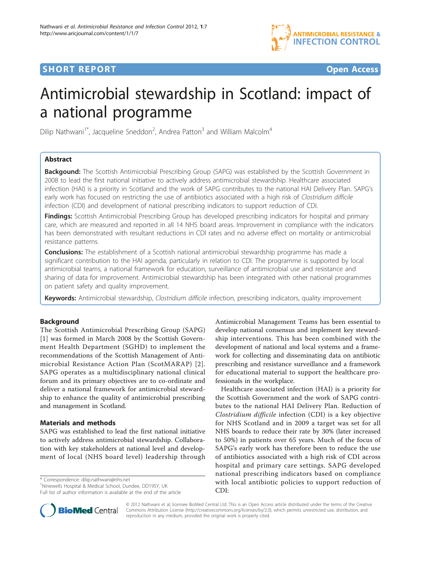

# **SHORT REPORT SHORT CONSUMING THE CONSUMING THE CONSUMING THE CONSUMING THE CONSUMING THE CONSUMING THE CONSUMING THE CONSUMING THE CONSUMING THE CONSUMING THE CONSUMING THE CONSUMING THE CONSUMING THE CONSUMING THE CONS**



# Antimicrobial stewardship in Scotland: impact of a national programme

Dilip Nathwani<sup>1\*</sup>, Jacqueline Sneddon<sup>2</sup>, Andrea Patton<sup>3</sup> and William Malcolm<sup>4</sup>

# Abstract

**Backgound:** The Scottish Antimicrobial Prescribing Group (SAPG) was established by the Scottish Government in 2008 to lead the first national initiative to actively address antimicrobial stewardship. Healthcare associated infection (HAI) is a priority in Scotland and the work of SAPG contributes to the national HAI Delivery Plan. SAPG's early work has focused on restricting the use of antibiotics associated with a high risk of Clostridium difficile infection (CDI) and development of national prescribing indicators to support reduction of CDI.

**Findings:** Scottish Antimicrobial Prescribing Group has developed prescribing indicators for hospital and primary care, which are measured and reported in all 14 NHS board areas. Improvement in compliance with the indicators has been demonstrated with resultant reductions in CDI rates and no adverse effect on mortality or antimicrobial resistance patterns.

**Conclusions:** The establishment of a Scottish national antimicrobial stewardship programme has made a significant contribution to the HAI agenda, particularly in relation to CDI. The programme is supported by local antimicrobial teams, a national framework for education, surveillance of antimicrobial use and resistance and sharing of data for improvement. Antimicrobial stewardship has been integrated with other national programmes on patient safety and quality improvement.

Keywords: Antimicrobial stewardship, Clostridium difficile infection, prescribing indicators, quality improvement

# Background

The Scottish Antimicrobial Prescribing Group (SAPG) [[1\]](#page-2-0) was formed in March 2008 by the Scottish Government Health Department (SGHD) to implement the recommendations of the Scottish Management of Antimicrobial Resistance Action Plan (ScotMARAP) [[2\]](#page-2-0). SAPG operates as a multidisciplinary national clinical forum and its primary objectives are to co-ordinate and deliver a national framework for antimicrobial stewardship to enhance the quality of antimicrobial prescribing and management in Scotland.

# Materials and methods

SAPG was established to lead the first national initiative to actively address antimicrobial stewardship. Collaboration with key stakeholders at national level and development of local (NHS board level) leadership through

\* Correspondence: [dilip.nathwani@nhs.net](mailto:dilip.nathwani@nhs.net)

<sup>1</sup>Ninewells Hospital & Medical School, Dundee, DD19SY, UK Full list of author information is available at the end of the article Antimicrobial Management Teams has been essential to develop national consensus and implement key stewardship interventions. This has been combined with the development of national and local systems and a framework for collecting and disseminating data on antibiotic prescribing and resistance surveillance and a framework for educational material to support the healthcare professionals in the workplace.

Healthcare associated infection (HAI) is a priority for the Scottish Government and the work of SAPG contributes to the national HAI Delivery Plan. Reduction of Clostridium difficile infection (CDI) is a key objective for NHS Scotland and in 2009 a target was set for all NHS boards to reduce their rate by 30% (later increased to 50%) in patients over 65 years. Much of the focus of SAPG's early work has therefore been to reduce the use of antibiotics associated with a high risk of CDI across hospital and primary care settings. SAPG developed national prescribing indicators based on compliance with local antibiotic policies to support reduction of CDI:



© 2012 Nathwani et al; licensee BioMed Central Ltd. This is an Open Access article distributed under the terms of the Creative Commons Attribution License [\(http://creativecommons.org/licenses/by/2.0](http://creativecommons.org/licenses/by/2.0)), which permits unrestricted use, distribution, and reproduction in any medium, provided the original work is properly cited.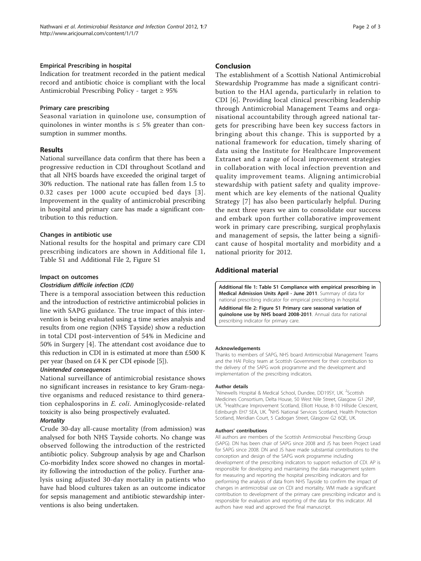# Empirical Prescribing in hospital

Indication for treatment recorded in the patient medical record and antibiotic choice is compliant with the local Antimicrobial Prescribing Policy - target  $\geq 95\%$ 

# Primary care prescribing

Seasonal variation in quinolone use, consumption of quinolones in winter months is  $\leq 5\%$  greater than consumption in summer months.

# **Results**

National surveillance data confirm that there has been a progressive reduction in CDI throughout Scotland and that all NHS boards have exceeded the original target of 30% reduction. The national rate has fallen from 1.5 to 0.32 cases per 1000 acute occupied bed days [[3\]](#page-2-0). Improvement in the quality of antimicrobial prescribing in hospital and primary care has made a significant contribution to this reduction.

# Changes in antibiotic use

National results for the hospital and primary care CDI prescribing indicators are shown in Additional file 1, Table S1 and Additional File 2, Figure S1

# Impact on outcomes

# Clostridium difficile infection (CDI)

There is a temporal association between this reduction and the introduction of restrictive antimicrobial policies in line with SAPG guidance. The true impact of this intervention is being evaluated using a time series analysis and results from one region (NHS Tayside) show a reduction in total CDI post-intervention of 54% in Medicine and 50% in Surgery [\[4](#page-2-0)]. The attendant cost avoidance due to this reduction in CDI in is estimated at more than £500 K per year (based on £4 K per CDI episode [[5](#page-2-0)]).

# Unintended consequences

National surveillance of antimicrobial resistance shows no significant increases in resistance to key Gram-negative organisms and reduced resistance to third generation cephalosporins in E. coli. Aminoglycoside-related toxicity is also being prospectively evaluated. **Mortality** 

Crude 30-day all-cause mortality (from admission) was analysed for both NHS Tayside cohorts. No change was observed following the introduction of the restricted antibiotic policy. Subgroup analysis by age and Charlson Co-morbidity Index score showed no changes in mortality following the introduction of the policy. Further analysis using adjusted 30-day mortality in patients who have had blood cultures taken as an outcome indicator for sepsis management and antibiotic stewardship interventions is also being undertaken.

# Conclusion

The establishment of a Scottish National Antimicrobial Stewardship Programme has made a significant contribution to the HAI agenda, particularly in relation to CDI [[6](#page-2-0)]. Providing local clinical prescribing leadership through Antimicrobial Management Teams and organisational accountability through agreed national targets for prescribing have been key success factors in bringing about this change. This is supported by a national framework for education, timely sharing of data using the Institute for Healthcare Improvement Extranet and a range of local improvement strategies in collaboration with local infection prevention and quality improvement teams. Aligning antimicrobial stewardship with patient safety and quality improvement which are key elements of the national Quality Strategy [\[7\]](#page-2-0) has also been particularly helpful. During the next three years we aim to consolidate our success and embark upon further collaborative improvement work in primary care prescribing, surgical prophylaxis and management of sepsis, the latter being a significant cause of hospital mortality and morbidity and a national priority for 2012.

# Additional material

[Additional file 1: T](http://www.biomedcentral.com/content/supplementary/2047-2994-1-7-S1.DOC)able S1 Compliance with empirical prescribing in Medical Admission Units April - June 2011. Summary of data for national prescribing indicator for empirical prescribing in hospital.

[Additional file 2: F](http://www.biomedcentral.com/content/supplementary/2047-2994-1-7-S2.DOC)igure S1 Primary care seasonal variation of quinolone use by NHS board 2008-2011. Annual data for national prescribing indicator for primary care.

## Acknowledgements

Thanks to members of SAPG, NHS board Antimicrobial Management Teams and the HAI Policy team at Scottish Government for their contribution to the delivery of the SAPG work programme and the development and implementation of the prescribing indicators.

## Author details

<sup>1</sup>Ninewells Hospital & Medical School, Dundee, DD19SY, UK. <sup>2</sup>Scottish Medicines Consortium, Delta House, 50 West Nile Street, Glasgow G1 2NP, UK. <sup>3</sup>Healthcare Improvement Scotland, Elliott House, 8-10 Hillside Crescent Edinburgh EH7 5EA, UK. <sup>4</sup>NHS National Services Scotland, Health Protection Scotland, Meridian Court, 5 Cadogan Street, Glasgow G2 6QE, UK.

### Authors' contributions

All authors are members of the Scottish Antimicrobial Prescribing Group (SAPG). DN has been chair of SAPG since 2008 and JS has been Project Lead for SAPG since 2008. DN and JS have made substantial contributions to the conception and design of the SAPG work programme including development of the prescribing indicators to support reduction of CDI. AP is responsible for developing and maintaining the data management system for measuring and reporting the hospital prescribing indicators and for performing the analysis of data from NHS Tayside to confirm the impact of changes in antimicrobial use on CDI and mortality. WM made a significant contribution to development of the primary care prescribing indicator and is responsible for evaluation and reporting of the data for this indicator. All authors have read and approved the final manuscript.